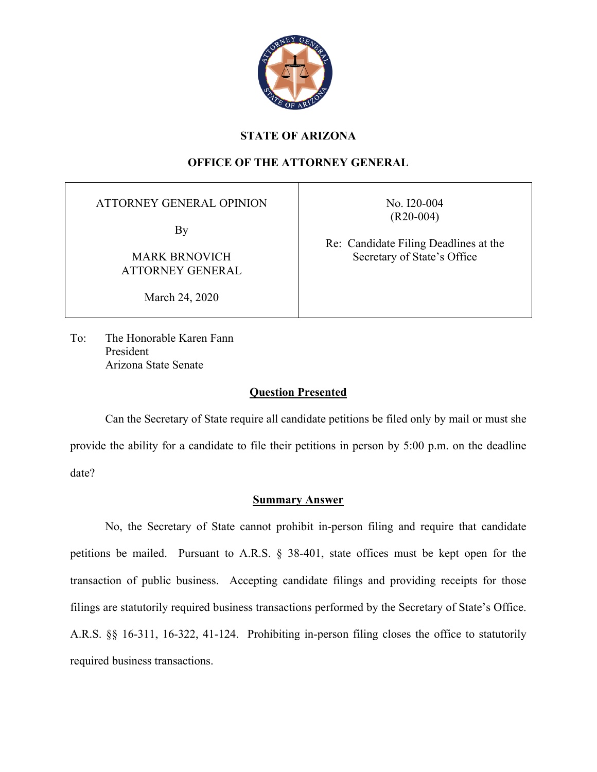

# **STATE OF ARIZONA**

# **OFFICE OF THE ATTORNEY GENERAL**

ATTORNEY GENERAL OPINION

By

MARK BRNOVICH ATTORNEY GENERAL

March 24, 2020

No. I20-004 (R20-004)

Re: Candidate Filing Deadlines at the Secretary of State's Office

To: The Honorable Karen Fann President Arizona State Senate

## **Question Presented**

Can the Secretary of State require all candidate petitions be filed only by mail or must she provide the ability for a candidate to file their petitions in person by 5:00 p.m. on the deadline date?

## **Summary Answer**

No, the Secretary of State cannot prohibit in-person filing and require that candidate petitions be mailed. Pursuant to A.R.S. § 38-401, state offices must be kept open for the transaction of public business. Accepting candidate filings and providing receipts for those filings are statutorily required business transactions performed by the Secretary of State's Office. A.R.S. §§ 16-311, 16-322, 41-124. Prohibiting in-person filing closes the office to statutorily required business transactions.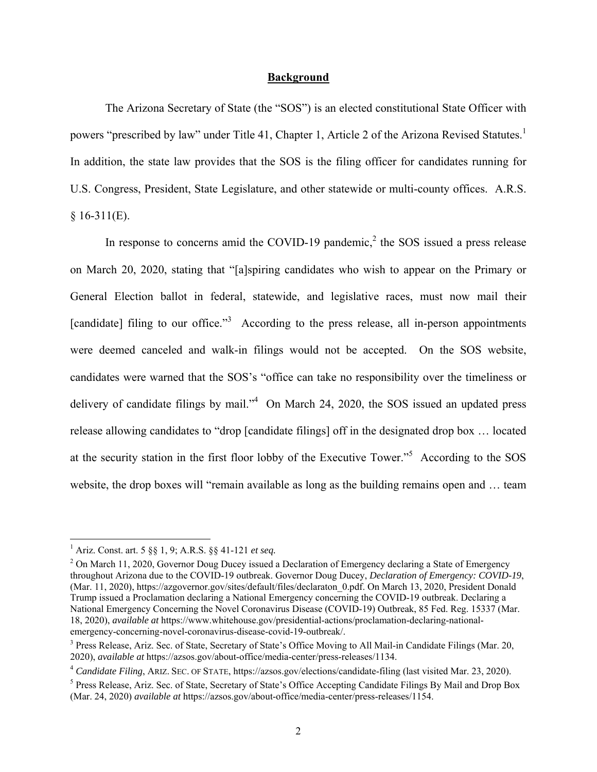#### **Background**

The Arizona Secretary of State (the "SOS") is an elected constitutional State Officer with powers "prescribed by law" under Title 41, Chapter 1, Article 2 of the Arizona Revised Statutes.<sup>1</sup> In addition, the state law provides that the SOS is the filing officer for candidates running for U.S. Congress, President, State Legislature, and other statewide or multi-county offices. A.R.S.  $$16-311(E).$ 

In response to concerns amid the COVID-19 pandemic,<sup>2</sup> the SOS issued a press release on March 20, 2020, stating that "[a]spiring candidates who wish to appear on the Primary or General Election ballot in federal, statewide, and legislative races, must now mail their [candidate] filing to our office."<sup>3</sup> According to the press release, all in-person appointments were deemed canceled and walk-in filings would not be accepted. On the SOS website, candidates were warned that the SOS's "office can take no responsibility over the timeliness or delivery of candidate filings by mail." $4$  On March 24, 2020, the SOS issued an updated press release allowing candidates to "drop [candidate filings] off in the designated drop box … located at the security station in the first floor lobby of the Executive Tower."<sup>5</sup> According to the SOS website, the drop boxes will "remain available as long as the building remains open and … team

<sup>1</sup> Ariz. Const. art. 5 §§ 1, 9; A.R.S. §§ 41-121 *et seq.*

 $2$  On March 11, 2020, Governor Doug Ducey issued a Declaration of Emergency declaring a State of Emergency throughout Arizona due to the COVID-19 outbreak. Governor Doug Ducey, *Declaration of Emergency: COVID-19*, (Mar. 11, 2020), https://azgovernor.gov/sites/default/files/declaraton\_0.pdf. On March 13, 2020, President Donald Trump issued a Proclamation declaring a National Emergency concerning the COVID-19 outbreak. Declaring a National Emergency Concerning the Novel Coronavirus Disease (COVID-19) Outbreak, 85 Fed. Reg. 15337 (Mar. 18, 2020), *available at* https://www.whitehouse.gov/presidential-actions/proclamation-declaring-nationalemergency-concerning-novel-coronavirus-disease-covid-19-outbreak/.

<sup>&</sup>lt;sup>3</sup> Press Release, Ariz. Sec. of State, Secretary of State's Office Moving to All Mail-in Candidate Filings (Mar. 20, 2020), *available at* https://azsos.gov/about-office/media-center/press-releases/1134.

<sup>&</sup>lt;sup>4</sup> Candidate Filing, ARIZ. SEC. OF STATE, https://azsos.gov/elections/candidate-filing (last visited Mar. 23, 2020).

<sup>&</sup>lt;sup>5</sup> Press Release, Ariz. Sec. of State, Secretary of State's Office Accepting Candidate Filings By Mail and Drop Box (Mar. 24, 2020) *available at* https://azsos.gov/about-office/media-center/press-releases/1154.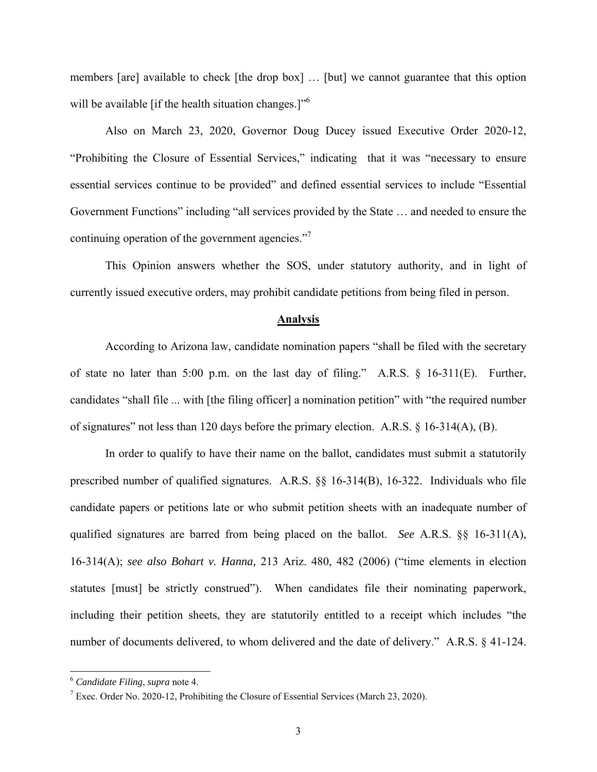members [are] available to check [the drop box] … [but] we cannot guarantee that this option will be available [if the health situation changes.]"<sup>6</sup>

Also on March 23, 2020, Governor Doug Ducey issued Executive Order 2020-12, "Prohibiting the Closure of Essential Services," indicating that it was "necessary to ensure essential services continue to be provided" and defined essential services to include "Essential Government Functions" including "all services provided by the State … and needed to ensure the continuing operation of the government agencies. $"$ 

This Opinion answers whether the SOS, under statutory authority, and in light of currently issued executive orders, may prohibit candidate petitions from being filed in person.

#### **Analysis**

According to Arizona law, candidate nomination papers "shall be filed with the secretary of state no later than 5:00 p.m. on the last day of filing." A.R.S. § 16-311(E). Further, candidates "shall file ... with [the filing officer] a nomination petition" with "the required number of signatures" not less than 120 days before the primary election. A.R.S. § 16-314(A), (B).

In order to qualify to have their name on the ballot, candidates must submit a statutorily prescribed number of qualified signatures. A.R.S. §§ 16-314(B), 16-322. Individuals who file candidate papers or petitions late or who submit petition sheets with an inadequate number of qualified signatures are barred from being placed on the ballot. *See* A.R.S. §§ 16-311(A), 16-314(A); *see also Bohart v. Hanna,* 213 Ariz. 480, 482 (2006) ("time elements in election statutes [must] be strictly construed"). When candidates file their nominating paperwork, including their petition sheets, they are statutorily entitled to a receipt which includes "the number of documents delivered, to whom delivered and the date of delivery." A.R.S. § 41-124.

<sup>&</sup>lt;sup>6</sup> *Candidate Filing*, *supra* note 4.<br><sup>7</sup> Exec Order No. 2020-12, Probi

<sup>&</sup>lt;sup>7</sup> Exec. Order No. 2020-12, Prohibiting the Closure of Essential Services (March 23, 2020).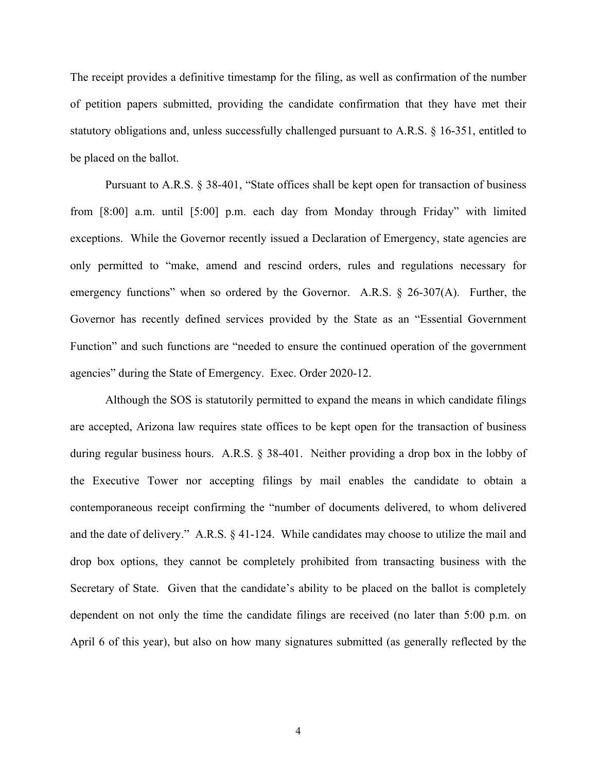The receipt provides a definitive timestamp for the filing, as well as confirmation of the number of petition papers submitted, providing the candidate confirmation that they have met their statutory obligations and, unless successfully challenged pursuant to A.R.S. § 16-351, entitled to be placed on the ballot.

Pursuant to A.R.S. § 38-401, "State offices shall be kept open for transaction of business from [8:00] a.m. until [5:00] p.m. each day from Monday through Friday" with limited exceptions. While the Governor recently issued a Declaration of Emergency, state agencies are only permitted to "make, amend and rescind orders, rules and regulations necessary for emergency functions" when so ordered by the Governor. A.R.S. § 26-307(A). Further, the Governor has recently defined services provided by the State as an "Essential Government Function" and such functions are "needed to ensure the continued operation of the government agencies" during the State of Emergency. Exec. Order 2020-12.

Although the SOS is statutorily permitted to expand the means in which candidate filings are accepted, Arizona law requires state offices to be kept open for the transaction of business during regular business hours. A.R.S. § 38-401. Neither providing a drop box in the lobby of the Executive Tower nor accepting filings by mail enables the candidate to obtain a contemporaneous receipt confirming the "number of documents delivered, to whom delivered and the date of delivery." A.R.S. § 41-124. While candidates may choose to utilize the mail and drop box options, they cannot be completely prohibited from transacting business with the Secretary of State. Given that the candidate's ability to be placed on the ballot is completely dependent on not only the time the candidate filings are received (no later than 5:00 p.m. on April 6 of this year), but also on how many signatures submitted (as generally reflected by the